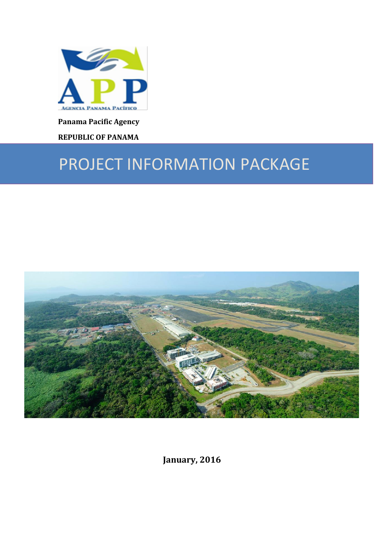

**Panama Pacific Agency**

**REPUBLIC OF PANAMA**

# PROJECT INFORMATION PACKAGE



**January, 2016**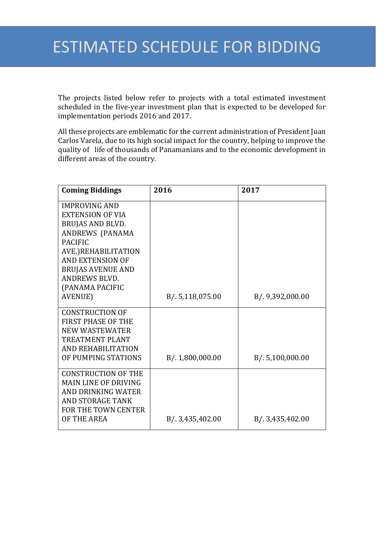The projects listed below refer to projects with a total estimated investment scheduled in the five-year investment plan that is expected to be developed for implementation periods 2016 and 2017.

All these projects are emblematic for the current administration of President Juan Carlos Varela, due to its high social impact for the country, helping to improve the quality of life of thousands of Panamanians and to the economic development in different areas of the country.

| <b>Coming Biddings</b>      | 2016             | 2017             |
|-----------------------------|------------------|------------------|
| <b>IMPROVING AND</b>        |                  |                  |
| <b>EXTENSION OF VIA</b>     |                  |                  |
| <b>BRUJAS AND BLVD.</b>     |                  |                  |
| ANDREWS (PANAMA             |                  |                  |
| <b>PACIFIC</b>              |                  |                  |
| AVE.)REHABILITATION         |                  |                  |
| <b>AND EXTENSION OF</b>     |                  |                  |
| <b>BRUJAS AVENUE AND</b>    |                  |                  |
| <b>ANDREWS BLVD.</b>        |                  |                  |
| (PANAMA PACIFIC             |                  |                  |
| AVENUE)                     | B/. 5,118,075.00 | B/. 9,392,000.00 |
| <b>CONSTRUCTION OF</b>      |                  |                  |
| <b>FIRST PHASE OF THE</b>   |                  |                  |
| <b>NEW WASTEWATER</b>       |                  |                  |
| <b>TREATMENT PLANT</b>      |                  |                  |
| AND REHABILITATION          |                  |                  |
| OF PUMPING STATIONS         | B/. 1,800,000.00 | B/.5,100,000.00  |
| <b>CONSTRUCTION OF THE</b>  |                  |                  |
| <b>MAIN LINE OF DRIVING</b> |                  |                  |
| AND DRINKING WATER          |                  |                  |
| <b>AND STORAGE TANK</b>     |                  |                  |
| <b>FOR THE TOWN CENTER</b>  |                  |                  |
| OF THE AREA                 | B/. 3,435,402.00 | B/. 3,435,402.00 |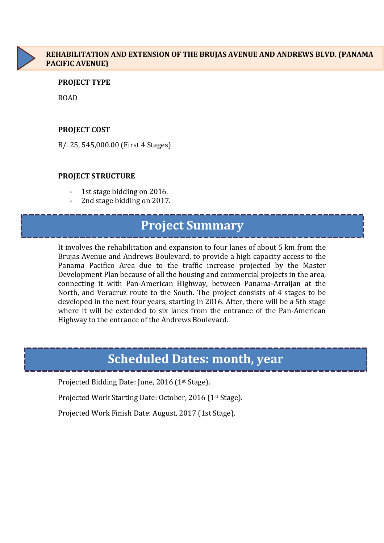

# **REHABILITATION AND EXTENSION OF THE BRUJAS AVENUE AND ANDREWS BLVD. (PANAMA PACIFIC AVENUE)**

### **PROJECT TYPE**

ROAD

### **PROJECT COST**

B/. 25, 545,000.00 (First 4 Stages)

### **PROJECT STRUCTURE**

- 1st stage bidding on 2016.
- 2nd stage bidding on 2017.

# **Project Summary**

It involves the rehabilitation and expansion to four lanes of about 5 km from the Brujas Avenue and Andrews Boulevard, to provide a high capacity access to the Panama Pacifico Area due to the traffic increase projected by the Master Development Plan because of all the housing and commercial projects in the area, connecting it with Pan-American Highway, between Panama-Arraijan at the North, and Veracruz route to the South. The project consists of 4 stages to be developed in the next four years, starting in 2016. After, there will be a 5th stage where it will be extended to six lanes from the entrance of the Pan-American Highway to the entrance of the Andrews Boulevard.

# **Scheduled Dates: month, year**

Projected Bidding Date: June, 2016 (1st Stage).

Projected Work Starting Date: October, 2016 (1st Stage).

Projected Work Finish Date: August, 2017 (1st Stage).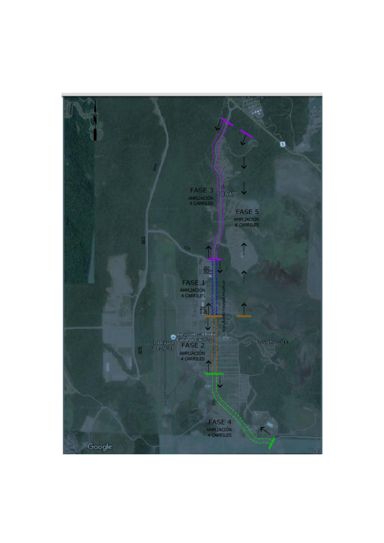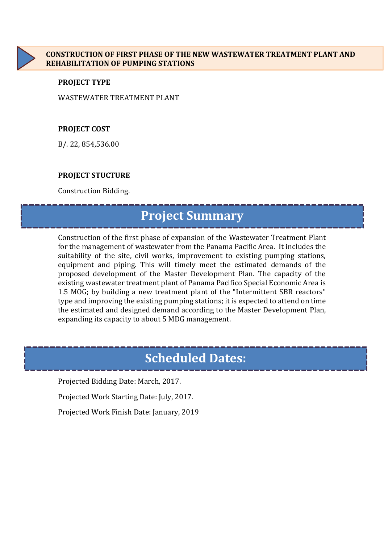

### **PROJECT TYPE**

WASTEWATER TREATMENT PLANT

# **PROJECT COST**

B/. 22, 854,536.00

# **PROJECT STUCTURE**

Construction Bidding.

# **Project Summary**

Construction of the first phase of expansion of the Wastewater Treatment Plant for the management of wastewater from the Panama Pacific Area. It includes the suitability of the site, civil works, improvement to existing pumping stations, equipment and piping. This will timely meet the estimated demands of the proposed development of the Master Development Plan. The capacity of the existing wastewater treatment plant of Panama Pacifico Special Economic Area is 1.5 MOG; by building a new treatment plant of the "Intermittent SBR reactors" type and improving the existing pumping stations; it is expected to attend on time the estimated and designed demand according to the Master Development Plan, expanding its capacity to about 5 MDG management.

# **Scheduled Dates:**

Projected Bidding Date: March, 2017.

Projected Work Starting Date: July, 2017.

Projected Work Finish Date: January, 2019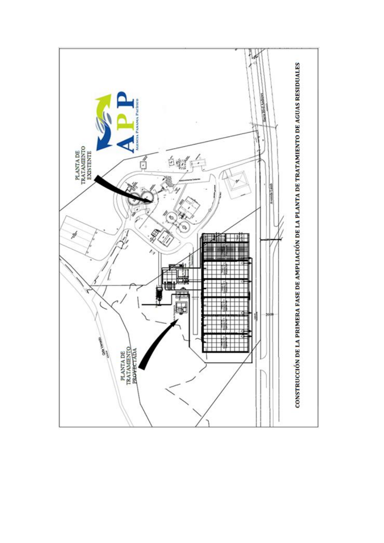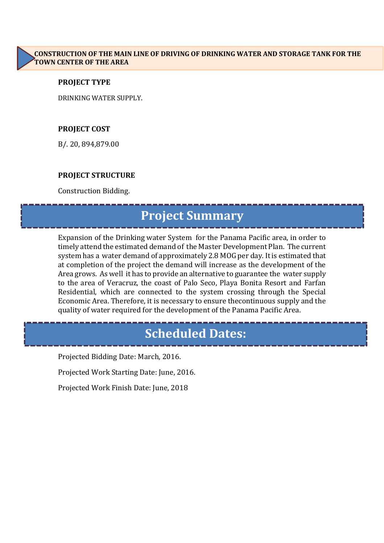### **PROJECT TYPE**

DRINKING WATER SUPPLY.

### **PROJECT COST**

B/. 20, 894,879.00

### **PROJECT STRUCTURE**

Construction Bidding.

# **Project Summary**

Expansion of the Drinking water System for the Panama Pacific area, in order to timely attend the estimated demand of the Master Development Plan. The current system has a water demand of approximately 2.8 MOG per day. It is estimated that at completion of the project the demand will increase as the development of the Area grows. As well it has to provide an alternative to guarantee the water supply to the area of Veracruz, the coast of Palo Seco, Playa Bonita Resort and Farfan Residential, which are connected to the system crossing through the Special Economic Area. Therefore, it is necessary to ensure thecontinuous supply and the quality of water required for the development of the Panama Pacific Area.

# **Scheduled Dates:**

Projected Bidding Date: March, 2016.

Projected Work Starting Date: June, 2016.

Projected Work Finish Date: June, 2018